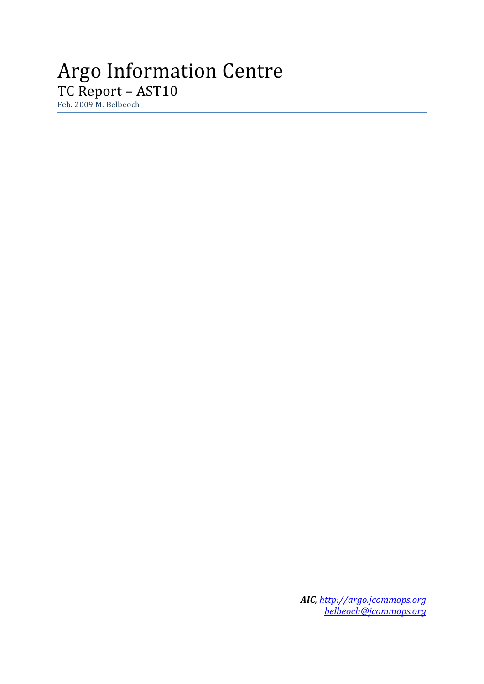# Argo Information Centre TC Report – AST10

Feb. 2009 M. Belbeoch

*AIC, [http://argo.jcommops.org](http://argo.jcommops.org/) [belbeoch@jcommops.org](mailto:belbeoch@jcommops.org)*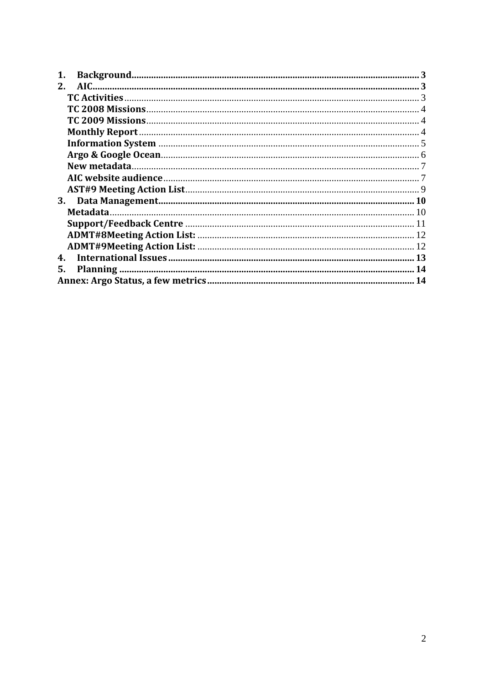| $2_{-}$ |  |
|---------|--|
|         |  |
|         |  |
|         |  |
|         |  |
|         |  |
|         |  |
|         |  |
|         |  |
|         |  |
| 3.      |  |
|         |  |
|         |  |
|         |  |
|         |  |
| 4.      |  |
| 5.      |  |
|         |  |
|         |  |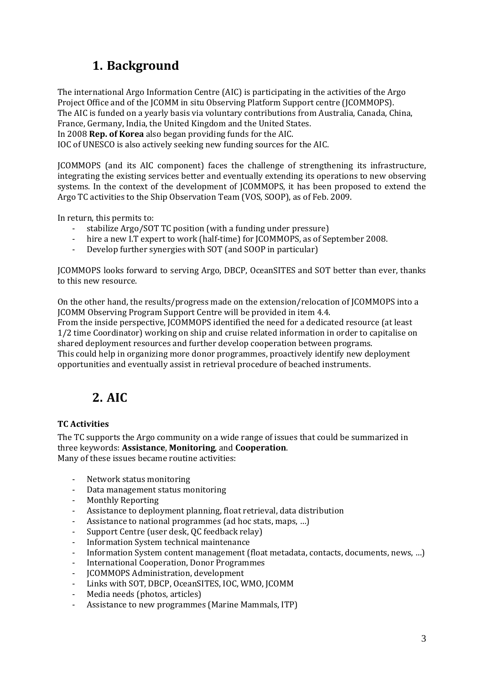## **1. Background**

<span id="page-2-0"></span>The international Argo Information Centre (AIC) is participating in the activities of the Argo Project Office and of the JCOMM in situ Observing Platform Support centre (JCOMMOPS). The AIC is funded on a yearly basis via voluntary contributions from Australia, Canada, China, France, Germany, India, the United Kingdom and the United States. In 2008 **Rep. of Korea** also began providing funds for the AIC.

IOC of UNESCO is also actively seeking new funding sources for the AIC.

JCOMMOPS (and its AIC component) faces the challenge of strengthening its infrastructure, integrating the existing services better and eventually extending its operations to new observing systems. In the context of the development of JCOMMOPS, it has been proposed to extend the Argo TC activities to the Ship Observation Team (VOS, SOOP), as of Feb. 2009.

In return, this permits to:

- stabilize Argo/SOT TC position (with a funding under pressure)
- hire a new I.T expert to work (half-time) for JCOMMOPS, as of September 2008.
- ‐ Develop further synergies with SOT (and SOOP in particular)

JCOMMOPS looks forward to serving Argo, DBCP, OceanSITES and SOT better than ever, thanks to this new resource.

On the other hand, the results/progress made on the extension/relocation of JCOMMOPS into a JCOMM Observing Program Support Centre will be provided in item 4.4.

From the inside perspective, JCOMMOPS identified the need for a dedicated resource (at least 1/2 time Coordinator) working on ship and cruise related information in order to capitalise on shared deployment resources and further develop cooperation between programs.

his could help in organizing more donor programmes, proactively identify new deployment T pportunities and eventually assist in retrieval procedure of beached instruments. o

### **2. AIC**

### **TC Activities**

The TC supports the Argo community on a wide range of issues that could be summarized in three keywords: Assistance, Monitoring, and Cooperation. Many of these issues became routine activities:

- ‐ Network status monitoring
- ‐ Data management status monitoring
- ‐ Monthly Reporting
- Assistance to deployment planning, float retrieval, data distribution
- Assistance to national programmes (ad hoc stats, maps, ...)
- ‐ Support Centre (user desk, QC feedback relay)
- ‐ Information System technical maintenance
- Information System content management (float metadata, contacts, documents, news, ...)
- ‐ International Cooperation, Donor Programmes
- ‐ JCOMMOPS Administration, development
- ‐ Links with SOT, DBCP, OceanSITES, IOC, WMO, JCOMM
- ‐ Media needs (photos, articles)
- ‐ Assistance to new programmes (Marine Mammals, ITP)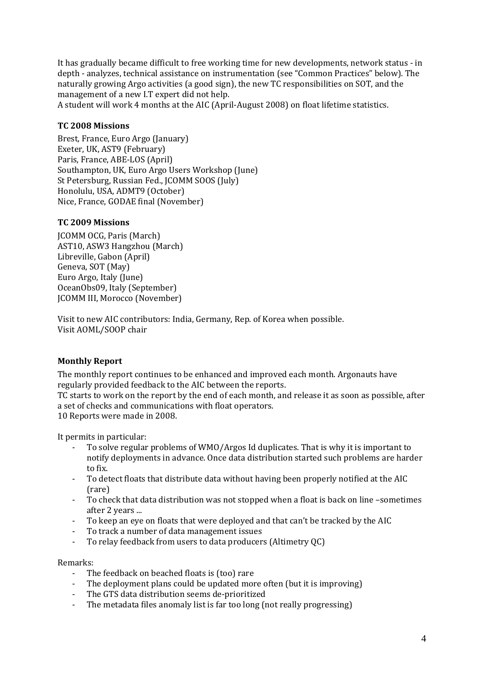<span id="page-3-0"></span>It has gradually became difficult to free working time for new developments, network status ‐ in depth - analyzes, technical assistance on instrumentation (see "Common Practices" below). The naturally growing Argo activities (a good sign), the new TC responsibilities on SOT, and the management of a new I.T expert did not help.

A student will work 4 months at the AIC (April-August 2008) on float lifetime statistics.

### **TC 2008 Missions**

Brest, France, Euro Argo (January) Exeter, UK, AST9 (February) Southampton, UK, Euro Argo Users Workshop (June) Paris, France, ABE‐LOS (April) St Petersburg, Russian Fed., JCOMM SOOS (July) Honolulu, USA, ADMT9 (October) Nice, France, GODAE final (November)

#### **TC 2009 Missions**

JCOMM OCG, Paris (March) AST10, ASW3 Hangzhou (March) ) Libreville, Gabon (April Geneva, SOT (May) Euro Argo, Italy (June) OceanObs09, Italy (September) JCOMM III, Morocco (November)

Visit to new AIC contributors: India, Germany, Rep. of Korea when possible. Visit AOML/SOOP chair

### **Monthly Report**

The monthly report continues to be enhanced and improved each month. Argonauts have regularly provided feedback to the AIC between the reports.

TC starts to work on the report by the end of each month, and release it as soon as possible, after a set of checks and communications with float operators.

10 Reports were made in 2008.

It permits in particular:

- ‐ To solve regular problems of WMO/Argos Id duplicates. That is why it is important to notify deployments in advance. Once data distribution started such problems are harder to fix.
- ‐ To detect floats that distribute data without having been properly notified at the AIC (rare)
- ‐ To check that data distribution was not stopped when a float is back on line –sometimes after 2 years ...
- To keep an eye on floats that were deployed and that can't be tracked by the AIC
- ‐ To track a number of data management issues
- ‐ To relay feedback from users to data producers (Altimetry QC)

Remarks:

- The feedback on beached floats is (too) rare
- The deployment plans could be updated more often (but it is improving)
- ‐ The GTS data distribution seems de‐prioritized
- ‐ The metadata files anomaly list is far too long (not really progressing)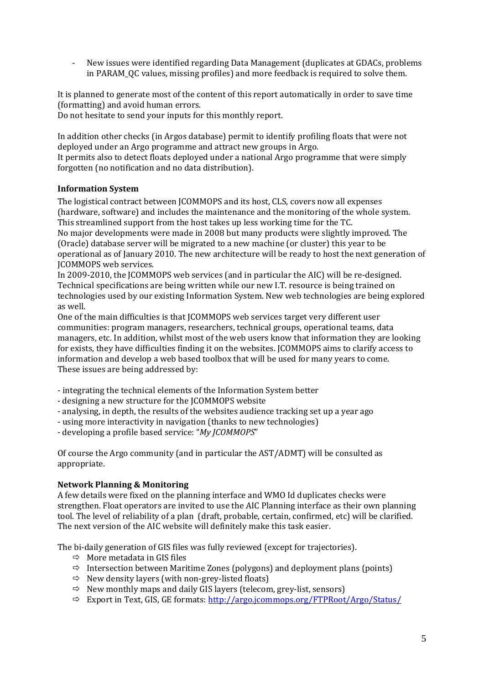<span id="page-4-0"></span>‐ New issues were identified regarding Data Management (duplicates at GDACs, problems in PARAM\_QC values, missing profiles) and more feedback is required to solve them.

It is planned to generate most of the content of this report automatically in order to save time (formatting) and avoid human errors.

Do not hesitate to send your inputs for this monthly report.

In addition other checks (in Argos database) permit to identify profiling floats that were not deployed under an Argo programme and attract new groups in Argo.

t permits also to detect floats deployed under a national Argo programme that were simply I forgotten (no notification and no data distribution).

### **Information System**

The logistical contract between JCOMMOPS and its host, CLS, covers now all expenses (hardware, software) and includes the maintenance and the monitoring of the whole system. This streamlined support from the host takes up less working time for the TC.

No major developments were made in 2008 but many products were slightly improved. The (Oracle) database server will be migrated to a new machine (or cluster) this year to be operational as of January 2010. The new architecture will be ready to host the next generation of JCOMMOPS web services.

In 2009-2010, the JCOMMOPS web services (and in particular the AIC) will be re-designed. Technical specifications are being written while our new I.T. resource is being trained on technologies used by our existing Information System. New web technologies are being explored as well.

One of the main difficulties is that JCOMMOPS web services target very different user communities: program managers, researchers, technical groups, operational teams, data managers, etc. In addition, whilst most of the web users know that information they are looking for exists, they have difficulties finding it on the websites. JCOMMOPS aims to clarify access to information and develop a web based toolbox that will be used for many years to come. These issues are being addressed by:

- ‐ integrating the technical elements of the Information System better
- ‐ designing a new structure for the JCOMMOPS website
- analysing, in depth, the results of the websites audience tracking set up a year ago
- using more interactivity in navigation (thanks to new technologies)
- ‐ developing a profile based service: "*My JCOMMOPS*"

Of course the Argo community (and in particular the AST/ADMT) will be consulted as appropriate.

### **Network Planning & Monitoring**

A few details were fixed on the planning interface and WMO Id duplicates checks were strengthen. Float operators are invited to use the AIC Planning interface as their own planning tool. The level of reliability of a plan (draft, probable, certain, confirmed, etc) will be clarified. The next version of the AIC website will definitely make this task easier.

The bi-daily generation of GIS files was fully reviewed (except for trajectories).

- $\Rightarrow$  More metadata in GIS files
- $\Rightarrow$  Intersection between Maritime Zones (polygons) and deployment plans (points)
- $\Rightarrow$  New density layers (with non-grey-listed floats)
- $\Rightarrow$  New monthly maps and daily GIS layers (telecom, grey-list, sensors)
- $\Rightarrow$  Export in Text, GIS, GE formats: http://argo.jcommops.org/FTPRoot/Argo/Status/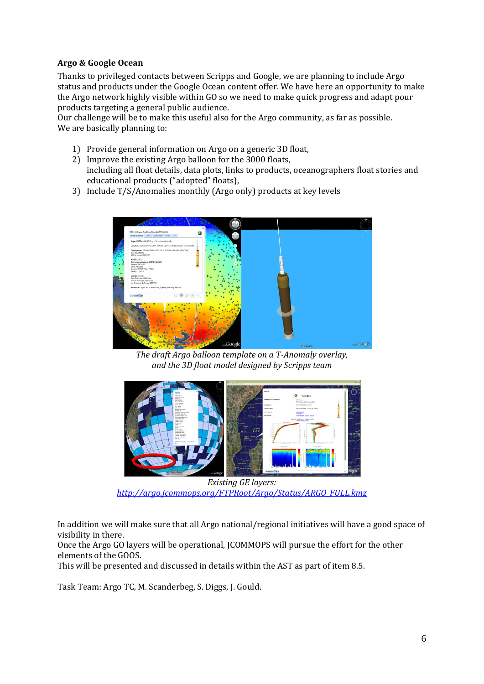### <span id="page-5-0"></span>**Argo & Google Ocean**

Thanks to privileged contacts between Scripps and Google, we are planning to include Argo status and products under the Google Ocean content offer. We have here an opportunity to make the Argo network highly visible within GO so we need to make quick progress and adapt pour products targeting a general public audience.

Our challenge will be to make this useful also for the Argo community, as far as possible. We are basically planning to:

- 1) Provide general information on Argo on a generic 3D float,
- 2) Improve the existing Argo balloon for the 3000 floats, including all float details, data plots, links to products, oceanographers float stories and educational products ("adopted" floats),
- 3) Include T/S/Anomalies monthly (Argo only) products at key levels



*The draft Argo balloon template on a TAnomaly overlay, and the 3D float model designed by Scripps team*



 *Existing GE layers: [http://argo.jcommops.org/FTPRoot/Argo/Status/ARGO\\_FULL.kmz](http://argo.jcommops.org/FTPRoot/Argo/Status/ARGO_FULL.kmz)*

In addition we will make sure that all Argo national/regional initiatives will have a good space of visibility in there.

Once the Argo GO layers will be operational, JCOMMOPS will pursue the effort for the other elements of the GOOS.

This will be presented and discussed in details within the AST as part of item 8.5.

Task Team: Argo TC, M. Scanderbeg, S. Diggs, J. Gould.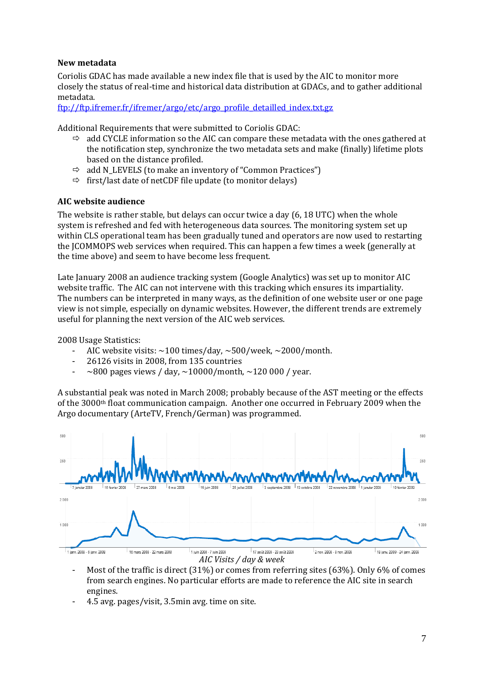### <span id="page-6-0"></span>**New metadata**

Coriolis GDAC has made available a new index file that is used by the AIC to monitor more closely the status of real‐time and historical data distribution at GDACs, and to gather additional metadata.

ftp://ftp.ifremer.fr/ifremer/argo/etc/argo\_profile\_detailled\_index.txt.gz

Additional Requirements that were submitted to Coriolis GDAC:

- $\Rightarrow$  add CYCLE information so the AIC can compare these metadata with the ones gathered at the notification step, synchronize the two metadata sets and make (finally) lifetime plots based on the distance profiled.
- $\Rightarrow$  add N\_LEVELS (to make an inventory of "Common Practices")
- $\Rightarrow$  first/last date of netCDF file update (to monitor delays)

### **AIC website audience**

The website is rather stable, but delays can occur twice a day (6, 18 UTC) when the whole system is refreshed and fed with heterogeneous data sources. The monitoring system set up within CLS operational team has been gradually tuned and operators are now used to restarting the JCOMMOPS web services when required. This can happen a few times a week (generally at the time above) and seem to have become less frequent.

Late January 2008 an audience tracking system (Google Analytics) was set up to monitor AIC website traffic. The AIC can not intervene with this tracking which ensures its impartiality. The numbers can be interpreted in many ways, as the definition of one website user or one page view is not simple, especially on dynamic websites. However, the different trends are extremely useful for planning the next version of the AIC web services.

2008 Usage Statistics:

- AIC website visits:  $\sim$ 100 times/day,  $\sim$ 500/week,  $\sim$ 2000/month.
- 26126 visits in 2008, from 135 countries
- $\sim$ 800 pages views / day,  $\sim$ 10000/month,  $\sim$ 120 000 / year.

A substantial peak was noted in March 2008; probably because of the AST meeting or the effects of the 3000<sup>th</sup> float communication campaign. Another one occurred in February 2009 when the Argo documentary (ArteTV, French/German) was programmed.



- Most of the traffic is direct (31%) or comes from referring sites (63%). Only 6% of comes from search engines. No particular efforts are made to reference the AIC site in search engines.
- 4.5 avg. pages/visit, 3.5min avg. time on site.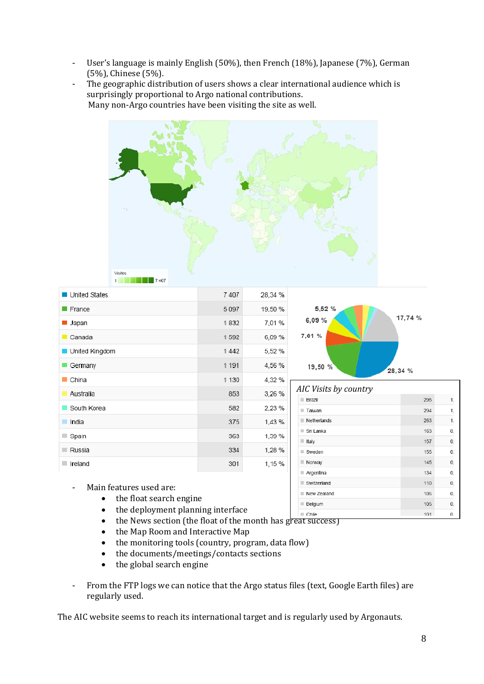- User's language is mainly English (50%), then French (18%), Japanese (7%), German (5%), Chinese (5%).
- The geographic distribution of users shows a clear international audience which is surprisingly proportional to Argo national contributions. Many non-Argo countries have been visiting the site as well.



| ■ United States        | 7407    | 28,34 % |                                 |            |          |
|------------------------|---------|---------|---------------------------------|------------|----------|
| <b>France</b>          | 5097    | 19,50 % | 5,52 %                          |            |          |
| ■ Japan                | 1832    | 7,01%   | 6,09%                           | 17,74 %    |          |
| $\blacksquare$ Canada  | 1592    | 6,09%   | 7,01 %                          |            |          |
| United Kingdom         | 1442    | 5,52%   |                                 |            |          |
| Germany                | 1 1 9 1 | 4,56 %  | 19,50 %                         | 28,34 %    |          |
| $\blacksquare$ China   | 1 1 3 0 | 4,32%   |                                 |            |          |
| Australia              | 853     | 3,26 %  | AIC Visits by country<br>Brazil | 295        | 1,       |
| South Korea            | 582     | 2,23%   | Taiwan                          | 294        | 1,       |
| India<br>ш             | 375     | 1,43%   | Netherlands                     | 263        | 1,       |
| $\Box$ Spain           | 363     | 1,39%   | Sri Lanka<br>ltaly              | 163<br>157 | 0,       |
| Russia                 | 334     | 1,28%   | $\blacksquare$ Sweden           | 155        | 0,<br>0, |
| $\blacksquare$ Ireland | 301     | 1,15%   | Norway                          | 145        | 0,       |
|                        |         |         | Argentina                       | 134        | 0,       |

Switzerland

New Zealand

**Belgium** 

- Main features used are:
	- the float search engine
	- the deployment planning interface
	- $\Box$  Chile • the News section (the float of the month has great success)
	- the Map Room and Interactive Map
	- the monitoring tools (country, program, data flow)
	- the documents/meetings/contacts sections
	- the global search engine
- From the FTP logs we can notice that the Argo status files (text, Google Earth files) are regularly used.

The AIC website seems to reach its international target and is regularly used by Argonauts.

 $110$ 

106

105

 $101$ 

0,

 $\mathbf{0}$ 

 $\mathbf{0},$ 

 $\overline{0}$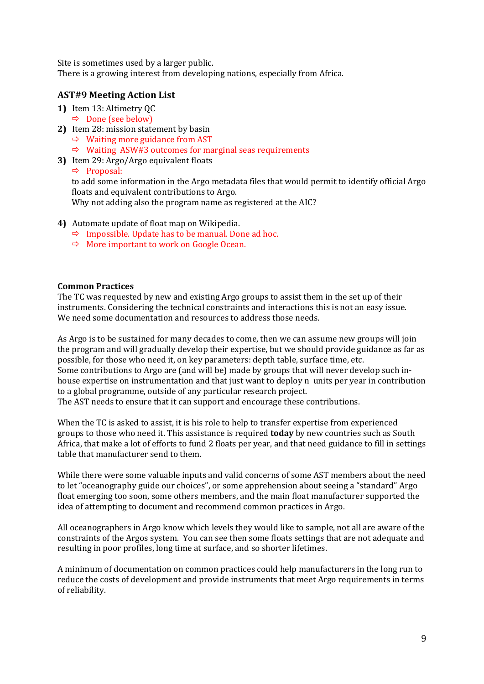<span id="page-8-0"></span>S ite is sometimes used by a larger public.

T here is a growing interest from developing nations, especially from Africa.

### **AST#9 Meeting Action List**

- **1)** Item 13: Altimetry QC
	- $\Rightarrow$  Done (see below)
- **2)** Item 28: mission statement by basin
	- $\Rightarrow$  Waiting more guidance from AST
	- $\Rightarrow$  Waiting ASW#3 outcomes for marginal seas requirements
- **3)** Item 29: Argo/Argo equivalent floats

 $\Rightarrow$  Proposal:

to add some information in the Argo metadata files that would permit to identify official Argo floats and equivalent contributions to Argo.

Why not adding also the program name as registered at the AIC?

- **4)** Automate update of float map on Wikipedia.
	- $\Rightarrow$  Impossible. Update has to be manual. Done ad hoc.
	- $\Rightarrow$  More important to work on Google Ocean.

#### **Common Practices**

The TC was requested by new and existing Argo groups to assist them in the set up of their instruments. Considering the technical constraints and interactions this is not an easy issue. We need some documentation and resources to address those needs.

As Argo is to be sustained for many decades to come, then we can assume new groups will join the program and will gradually develop their expertise, but we should provide guidance as far as possible, for those who need it, on key parameters: depth table, surface time, etc. Some contributions to Argo are (and will be) made by groups that will never develop such in‐ house expertise on instrumentation and that just want to deploy n units per year in contribution to a global programme, outside of any particular research project. The AST needs to ensure that it can support and encourage these contributions.

When the TC is asked to assist, it is his role to help to transfer expertise from experienced groups to those who need it. This assistance is required **today** by new countries such as South Africa, that make a lot of efforts to fund 2 floats per year, and that need guidance to fill in settings table that manufacturer send to them.

While there were some valuable inputs and valid concerns of some AST members about the need to let "oceanography guide our choices", or some apprehension about seeing a "standard" Argo float emerging too soon, some others members, and the main float manufacturer supported the idea of attempting to document and recommend common practices in Argo.

All oceanographers in Argo know which levels they would like to sample, not all are aware of the constraints of the Argos system. You can see then some floats settings that are not adequate and resulting in poor profiles, long time at surface, and so shorter lifetimes.

A minimum of documentation on common practices could help manufacturers in the long run to reduce the costs of development and provide instruments that meet Argo requirements in terms of reliability.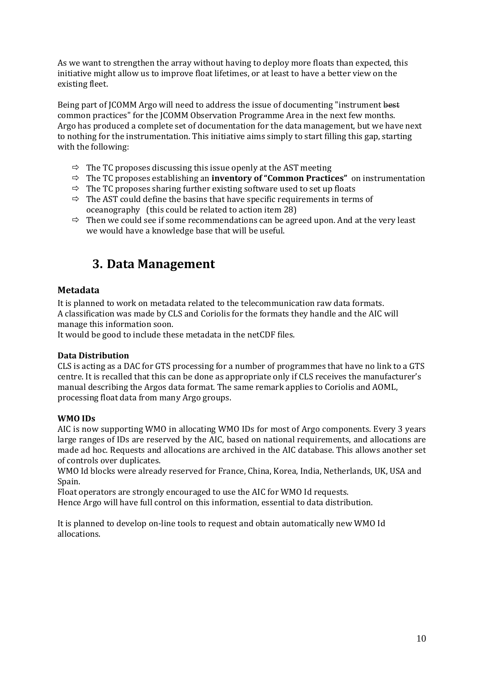<span id="page-9-0"></span>As we want to strengthen the array without having to deploy more floats than expected, this initiative might allow us to improve float lifetimes, or at least to have a better view on the existing fleet.

Being part of JCOMM Argo will need to address the issue of documenting "instrument best common practices" for the JCOMM Observation Programme Area in the next few months. Argo has produced a complete set of documentation for the data management, but we have next to nothing for the instrumentation. This initiative aims simply to start filling this gap, starting with the following:

- $\Rightarrow$  The TC proposes discussing this issue openly at the AST meeting
- $\Rightarrow$  The TC proposes establishing an **inventory of "Common Practices"** on instrumentation
- $\Rightarrow$  The TC proposes sharing further existing software used to set up floats
- $\Rightarrow$  The AST could define the basins that have specific requirements in terms of oceanography (this could be related to action item 28)
- $\Rightarrow$  Then we could see if some recommendations can be agreed upon. And at the very least we would have a knowledge base that will be useful.

### **3. Data Management**

### **Metadata**

It is planned to work on metadata related to the telecommunication raw data formats. A classification was made by CLS and Coriolis for the formats they handle and the AIC will manage this information soon.

t would be good to include these metadata in the netCDF files. I

### **Data Distribution**

CLS is acting as a DAC for GTS processing for a number of programmes that have no link to a GTS centre. It is recalled that this can be done as appropriate only if CLS receives the manufacturer's manual describing the Argos data format. The same remark applies to Coriolis and AOML, rocessing float data from many Argo groups. p

### **WMO IDs**

AIC is now supporting WMO in allocating WMO IDs for most of Argo components. Every 3 years large ranges of IDs are reserved by the AIC, based on national requirements, and allocations are made ad hoc. Requests and allocations are archived in the AIC database. This allows another set of controls over duplicates.

WMO Id blocks were already reserved for France, China, Korea, India, Netherlands, UK, USA and Spain.

Float operators are strongly encouraged to use the AIC for WMO Id requests.

Hence Argo will have full control on this information, essential to data distribution.

It is planned to develop on‐line tools to request and obtain automatically new WMO Id allocations.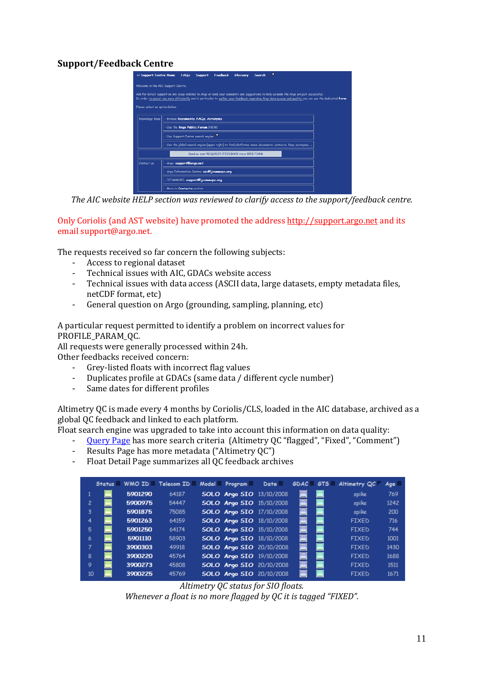### <span id="page-10-0"></span>**Support/Feedback Centre**

| 33) Support Centre Home            | ÷<br><b>FAQs</b><br>Feedback<br>Glossary<br><b>Search</b><br><b>Support</b>                                                                                                                                                                                                                        |
|------------------------------------|----------------------------------------------------------------------------------------------------------------------------------------------------------------------------------------------------------------------------------------------------------------------------------------------------|
| Welcome in the AIC Support Centre. |                                                                                                                                                                                                                                                                                                    |
|                                    | Ask for direct support on any issue related to Argo or send your comments and suggestions to help us make the Argo project successful.<br>In order to assist you more efficiently and in particular to gather your feedback regarding Argo data access and quality you can use the dedicated form. |
| Please select an option below:     |                                                                                                                                                                                                                                                                                                    |
|                                    |                                                                                                                                                                                                                                                                                                    |
| Knowledge Base                     | Browse Documents, FAQs, Acronyms                                                                                                                                                                                                                                                                   |
|                                    | - Use the Argo Public Forum (NEW)<br>Use Support Centre search engine                                                                                                                                                                                                                              |
|                                    | - Use the global search engine (upper right) to find platforms, news, documents, contacts, fags, acronyms,                                                                                                                                                                                         |
|                                    | Send us your REQUEST/FEEDBACK via a WEB FORM                                                                                                                                                                                                                                                       |
| Contact us                         | Ango: support@argo.net                                                                                                                                                                                                                                                                             |
|                                    | Argo Information Centre: aic@jcommops.org                                                                                                                                                                                                                                                          |
|                                    | JCOMMOPS: support@jcommops.org                                                                                                                                                                                                                                                                     |
|                                    | More in Contacts section                                                                                                                                                                                                                                                                           |

*The AIC website HELP section was reviewed to clarify access to the support/feedback centre .*

Only Coriolis (and AST website) have promoted the address [http://support.argo.net](http://support.argo.net/) and its email support@argo.net.

The requests received so far concern the following subjects:

- Access to regional dataset
- Technical issues with AIC, GDACs website access
- Technical issues with data access (ASCII data, large datasets, empty metadata files, netCDF format, etc)
- General question on Argo (grounding, sampling, planning, etc)

A particular request permitted to identify a problem on incorrect values for PROFILE\_PARAM\_OC.

All requ ests were generally processed within 24h. Other fe edbacks received concern:

- Grey-listed floats with incorrect flag values
- Duplicates profile at GDACs (same data / different cycle number)
- Same dates for different profiles

Altimetry QC is made every 4 months by Coriolis/CLS, loaded in the AIC database, archived as a global Q C feedback and linked to each platform.

Float search engine was upgraded to take into account this information on data quality:

- Query Page has more search criteria (Altimetry QC "flagged", "Fixed", "Comment")
- Results Page has more metadata ("Altimetry QC")
- Float Detail Page summarizes all QC feedback archives

|    |   |         | $String \equiv$ WMO ID $\equiv$ Telecom ID $\equiv$ Model $\equiv$ Program $\equiv$ Date $\equiv$ |                                 |                                 |          | GDAC GTS Altimetry QC | $Aq$ c $\Box$ |
|----|---|---------|---------------------------------------------------------------------------------------------------|---------------------------------|---------------------------------|----------|-----------------------|---------------|
|    |   | 5901290 | 64187                                                                                             | <b>SOLO Argo SIO</b> 13/10/2008 |                                 | Ξ        | spike                 | 769           |
| 2  |   | 5900975 | 54447                                                                                             | <b>SOLO Argo SIO</b> 15/10/2008 |                                 |          | spike                 | 1242          |
| 3. |   | 5901875 | 75085                                                                                             | <b>SOLO Argo SIO</b> 17/10/2008 |                                 |          | spike                 | 200           |
| 4  |   | 5901263 | 64159                                                                                             | <b>SOLO Argo SIO 18/10/2008</b> |                                 | $\equiv$ | <b>FIXED</b>          | 716           |
| 5  |   | 5901250 | 64174                                                                                             | <b>SOLO Argo SIO</b> 15/10/2008 |                                 | $\equiv$ | <b>FIXED</b>          | 744           |
| 6. |   | 5901110 | 58903                                                                                             | <b>SOLO Argo SIO 18/10/2008</b> |                                 | Ξ        | <b>FIXED</b>          | 1001          |
|    |   | 3900303 | 49918                                                                                             |                                 | <b>SOLO Argo SIO 20/10/2008</b> |          | <b>FIXED</b>          | 1430          |
| 8  |   | 3900220 | 45764                                                                                             | <b>SOLO Argo SIO</b> 19/10/2008 |                                 |          | <b>FIXED</b>          | 1688          |
| 9  | − | 3900273 | 45808                                                                                             |                                 | <b>SOLO Argo SIO 20/10/2008</b> | $\equiv$ | <b>FIXED</b>          | 1511          |
| 10 |   | 3900225 | 45769                                                                                             |                                 | <b>SOLO Argo SIO 20/10/2008</b> |          | <b>FIXED</b>          | 1671          |

*Altimetry QC status for SIO floats.*

*Whenever a float is no more flagged by QC it is tagged "FIXED".*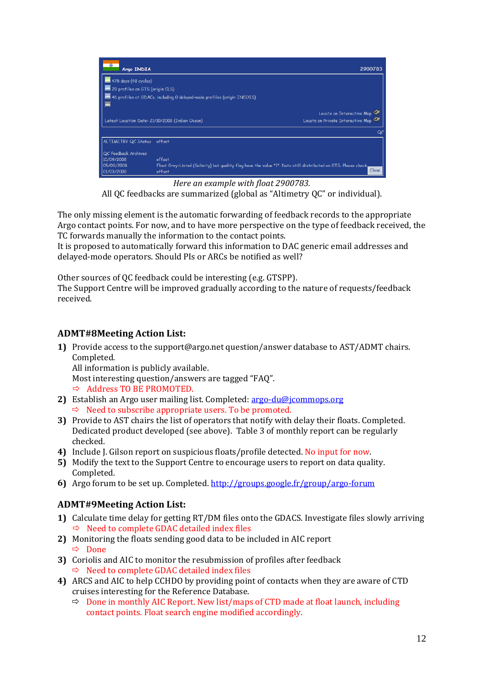<span id="page-11-0"></span>

| Tôi<br>Argo INDIA                              |                                                                                                                | 2900783                           |
|------------------------------------------------|----------------------------------------------------------------------------------------------------------------|-----------------------------------|
| $\blacksquare$ 475 days (48 cycles)            |                                                                                                                |                                   |
| $\blacksquare$ 28 profiles on GTS (origin CLS) |                                                                                                                |                                   |
|                                                | 46 profiles at GDACs, including 0 delayed-mode profiles (origin INCOIS)                                        |                                   |
|                                                |                                                                                                                | Locate on Interactive Map 50      |
|                                                | Latest Location Date: 21/10/2008 (Indian Ocean)                                                                | Locate on Private Interactive Map |
|                                                |                                                                                                                | Q                                 |
| ALTIMETRY QC Status offset                     |                                                                                                                |                                   |
| QC Feedback Archives                           |                                                                                                                |                                   |
| 10/09/2008                                     | offset                                                                                                         |                                   |
| 05/09/2008                                     | Float Grey-Listed (Salinity) but quality flag have the value "1". Data still distributed on GTS. Please check, |                                   |
| 01/03/2008                                     | offset                                                                                                         | Close                             |

*Here an example with float 2900783.* All QC feedbacks are summarized (global as "Altimetry QC" or individual).

The only missing element is the automatic forwarding of feedback records to the appropriate Argo contact points. For now, and to have more perspective on the type of feedback received, the TC forwards manually the information to the contact points.

It is proposed to automatically forward this information to DAC generic email addresses and delayed‐mode operators. Should PIs or ARCs be notified as well?

Other sources of QC feedback could be interesting (e.g. GTSPP).

The Support Centre will be improved gradually according to the nature of requests/feedback received.

### **ADMT#8Meeting Action List:**

**1)** Provide access to the support@argo.net question/answer database to AST/ADMT chairs. Completed.

All information is publicly available.

Most interesting question/answers are tagged "FAQ".

 $\Rightarrow$  Address TO BE PROMOTED.

- 2) Establish an Argo user mailing list. Completed: argo-du@jcommops.org  $\Rightarrow$  Need to subscribe appropriate users. To be promoted.
- **3)** Provide to AST chairs the list of operators that notify with delay their floats. Completed. Dedicated product developed (see above). Table 3 of monthly report can be regularly checked.
- **4)** Include J. Gilson report on suspicious floats/profile detected. No input for now.
- **5)** Modify the text to the Support Centre to encourage users to report on data quality. Completed.
- **6)** Argo forum to be set up. Completed. [http://groups.google.fr/group/argo‐forum](http://groups.google.fr/group/argo-forum)

### **ADMT# 9Meeting Action List:**

- 1) Calculate time delay for getting RT/DM files onto the GDACS. Investigate files slowly arriving  $\Rightarrow$  Need to complete GDAC detailed index files
- **2)** Monitoring the floats sending good data to be included in AIC report Ö Done
- **3)** Coriolis and AIC to monitor the resubmission of profiles after feedback  $\Rightarrow$  Need to complete GDAC detailed index files
- 4) ARCS and AIC to help CCHDO by providing point of contacts when they are aware of CTD crui ses interesting for the Reference Database.
	- $\Rightarrow$  Done in monthly AIC Report. New list/maps of CTD made at float launch, including contact points. Float search engine modified accordingly.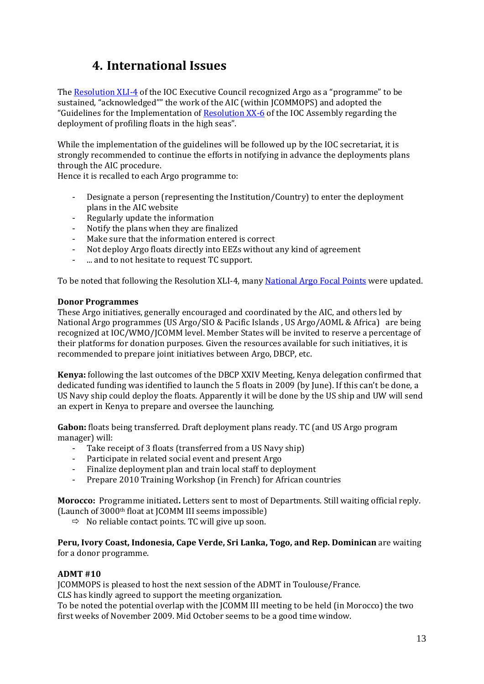### **4. International Issues**

<span id="page-12-0"></span>The Resolution XLI-4 of the IOC Executive Council recognized Argo as a "programme" to be sustained, "acknowledged"" the work of the AIC (within JCOMMOPS) and adopted the "Guidelines for the Implementation of [Resolution XX‐6](http://argo.jcommops.org/FTPRoot/Argo/Doc/IOC_Resolution_XX-6.pdf) of the IOC Assembly regarding the deployment of profiling floats in the high seas".

While the implementation of the guidelines will be followed up by the IOC secretariat, it is strongly recommended to continue the efforts in notifying in advance the deployments plans through the AIC procedure.

Hence it is recalled to each Argo programme to:

- Designate a person (representing the Institution/Country) to enter the deployment plans in the AIC website
- Regularly update the information
- Notify the plans when they are finalized
- Make sure that the information entered is correct
- Not deploy Argo floats directly into EEZs without any kind of agreement
- ... and to not hesitate to request TC support.

To be noted that following the Resolution XLI‐4, many [National Argo Focal Points](http://wo.jcommops.org/cgi-bin/WebObjects/Argo.woa/wa/gp?group=NFPs) were updated.

#### **Donor Programmes**

These Argo initiatives, generally encouraged and coordinated by the AIC, and others led by National Argo programmes (US Argo/SIO & Pacific Islands , US Argo/AOML & Africa) are being recognized at IOC/WMO/JCOMM level. Member States will be invited to reserve a percentage of their platforms for donation purposes. Given the resources available for such initiatives, it is recommended to prepare joint initiatives between Argo, DBCP, etc.

**Kenya:** following the last outcomes of the DBCP XXIV Meeting, Kenya delegation confirmed that dedicated funding was identified to launch the 5 floats in 2009 (by June). If this can't be done, a US Navy ship could deploy the floats. Apparently it will be done by the US ship and UW will send an expert in Kenya to prepare and oversee the launching.

Gabon: floats being transferred. Draft deployment plans ready. TC (and US Argo program manage r) will:

- Take receipt of 3 floats (transferred from a US Navy ship)
- Participate in related social event and present Argo
- Finalize deployment plan and train local staff to deployment
- Prepare 2010 Training Workshop (in French) for African countries

Morocco: Programme initiated. Letters sent to most of Departments. Still waiting official reply. (Launch of 3000th float at JCOMM III seems impossible)

 $\Rightarrow$  No reliable contact points. TC will give up soon.

**eru, Ivory Coast, Indonesia, Cape Verde, Sri Lanka, Togo, and Rep. Dominican** are waiting **P** for a donor programme.

#### **ADMT #10**

JCOMMOPS is pleased to host the next session of the ADMT in Toulouse/France.

CLS has kindly agreed to support the meeting organization.

To be noted the potential overlap with the JCOMM III meeting to be held (in Morocco) the two first weeks of November 2009. Mid October seems to be a good time window.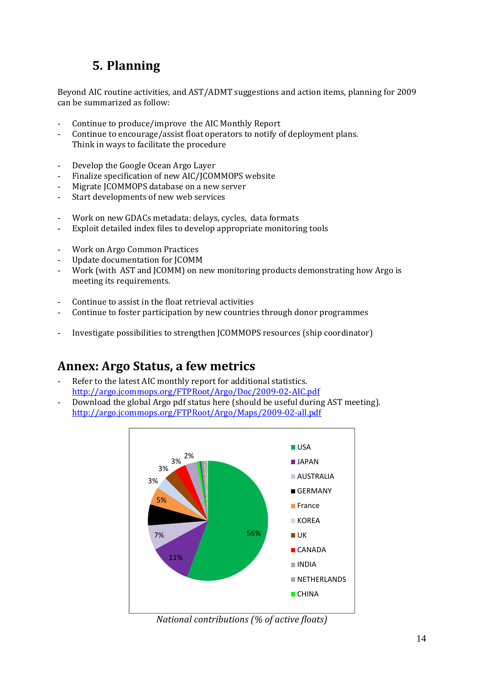# **5. Planning**

<span id="page-13-0"></span>Beyond AIC routine activities, and AST/ADMT suggestions and action items, planning for 2009 can be summarized as follow:

- Continue to produce/improve the AIC Mo nthly Report
- Continue to encourage/assist float operators to notify of deployment plans. Think in ways to facilitate the procedure
- Develop the Google Ocean Argo Layer
- Finalize specification of new AIC/JCOMMOPS website
- Migrate JCOMMOPS database on a new server
- Start developments of new web services
- Work on new GDACs metadata: delays, cycles, data formats
- Exploit detailed index files to develop appropriate monitoring tools
- Work on Argo Common Practices
- Update documentation for JCOMM -
- Work (with AST and JCOMM) on new monitoring products demonstrating how Argo is meeting its requirements.
- Continue to assist in the float retrieval activities
- Continue to foster participation by new countries through donor programmes
- Investigate possibilities to strengthen JCOMMOPS resources (ship coordinator)

### **Annex: Argo Status, a few metrics**

- Refer to the latest AIC monthly report for additional statistics. [http://argo.jcommops.org/FTPRoot/Argo/Doc/2009‐02‐AIC.pdf](http://argo.jcommops.org/FTPRoot/Argo/Maps/2009-02-all.pdf)
- Download the global Argo pdf status here (should be useful during AST meeting). [http://argo.jcommops.org/FTPRoot/Argo/Maps/2009‐02‐all.pdf](http://argo.jcommops.org/FTPRoot/Argo/Maps/2009-02-all.pdf)  -



*National contributions (% of active floats)*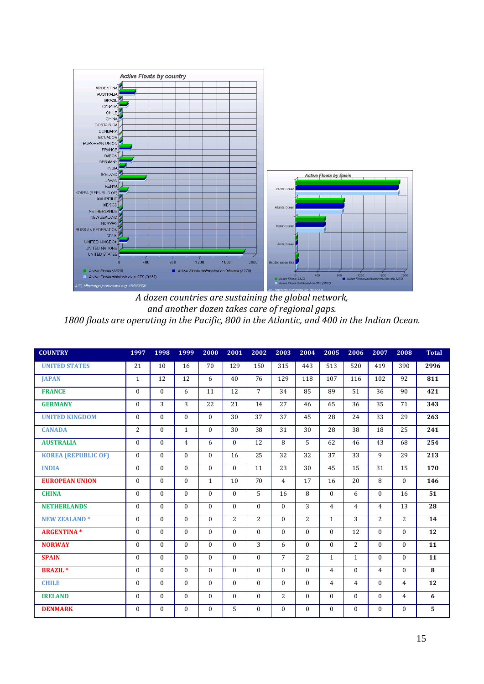

*and another dozen takes care of regional gaps. 1800 floats are operating in the Pacific, 800 in the Atlantic, and 400 in the Indian Ocean.*

| <b>COUNTRY</b>             | 1997           | 1998             | 1999         | 2000         | 2001         | 2002           | 2003           | 2004           | 2005           | 2006           | 2007           | 2008           | <b>Total</b> |
|----------------------------|----------------|------------------|--------------|--------------|--------------|----------------|----------------|----------------|----------------|----------------|----------------|----------------|--------------|
| <b>UNITED STATES</b>       | 21             | 10               | 16           | 70           | 129          | 150            | 315            | 443            | 513            | 520            | 419            | 390            | 2996         |
| <b>JAPAN</b>               | $\mathbf{1}$   | 12               | 12           | 6            | 40           | 76             | 129            | 118            | 107            | 116            | 102            | 92             | 811          |
| <b>FRANCE</b>              | $\Omega$       | $\Omega$         | 6            | 11           | 12           | $\overline{7}$ | 34             | 85             | 89             | 51             | 36             | 90             | 421          |
| <b>GERMANY</b>             | $\Omega$       | 3                | 3            | 22           | 21           | 14             | 27             | 46             | 65             | 36             | 35             | 71             | 343          |
| <b>UNITED KINGDOM</b>      | $\Omega$       | $\Omega$         | $\theta$     | $\Omega$     | 30           | 37             | 37             | 45             | 28             | 24             | 33             | 29             | 263          |
| <b>CANADA</b>              | $\overline{2}$ | $\Omega$         | $\mathbf{1}$ | $\Omega$     | 30           | 38             | 31             | 30             | 28             | 38             | 18             | 25             | 241          |
| <b>AUSTRALIA</b>           | $\Omega$       | $\Omega$         | 4            | 6            | $\mathbf{0}$ | 12             | 8              | 5              | 62             | 46             | 43             | 68             | 254          |
| <b>KOREA (REPUBLIC OF)</b> | $\Omega$       | $\Omega$         | $\Omega$     | $\Omega$     | 16           | 25             | 32             | 32             | 37             | 33             | 9              | 29             | 213          |
| <b>INDIA</b>               | $\Omega$       | $\Omega$         | $\theta$     | $\Omega$     | $\mathbf{0}$ | 11             | 23             | 30             | 45             | 15             | 31             | 15             | 170          |
| <b>EUROPEAN UNION</b>      | $\Omega$       | $\Omega$         | $\theta$     | $\mathbf{1}$ | 10           | 70             | $\overline{4}$ | 17             | 16             | 20             | 8              | $\theta$       | 146          |
| <b>CHINA</b>               | $\Omega$       | $\Omega$         | $\theta$     | $\Omega$     | $\Omega$     | 5              | 16             | 8              | $\theta$       | 6              | $\theta$       | 16             | 51           |
| <b>NETHERLANDS</b>         | $\Omega$       | $\Omega$         | $\theta$     | $\Omega$     | $\Omega$     | $\theta$       | $\Omega$       | 3              | $\overline{4}$ | $\overline{4}$ | $\overline{4}$ | 13             | 28           |
| <b>NEW ZEALAND*</b>        | $\Omega$       | $\Omega$         | $\Omega$     | $\theta$     | 2            | 2              | $\Omega$       | 2              | $\mathbf{1}$   | 3              | 2              | 2              | 14           |
| <b>ARGENTINA*</b>          | $\Omega$       | $\Omega$         | $\theta$     | $\Omega$     | $\theta$     | $\theta$       | $\Omega$       | $\Omega$       | $\Omega$       | 12             | $\theta$       | $\theta$       | 12           |
| <b>NORWAY</b>              | $\Omega$       | $\Omega$         | $\Omega$     | $\Omega$     | $\mathbf{0}$ | 3              | 6              | $\Omega$       | $\theta$       | $\overline{2}$ | $\Omega$       | $\theta$       | 11           |
| <b>SPAIN</b>               | $\Omega$       | $\Omega$         | $\Omega$     | $\Omega$     | $\Omega$     | $\theta$       | $\overline{7}$ | $\overline{2}$ | $\mathbf{1}$   | $\mathbf{1}$   | $\theta$       | $\Omega$       | 11           |
| <b>BRAZIL</b> *            | $\Omega$       | $\Omega$         | $\Omega$     | $\theta$     | $\mathbf{0}$ | $\theta$       | $\Omega$       | $\theta$       | $\overline{4}$ | $\mathbf{0}$   | $\overline{4}$ | $\theta$       | 8            |
| <b>CHILE</b>               | $\Omega$       | $\Omega$         | $\Omega$     | $\Omega$     | $\Omega$     | $\theta$       | $\Omega$       | $\Omega$       | $\overline{4}$ | $\overline{4}$ | $\theta$       | $\overline{4}$ | 12           |
| <b>IRELAND</b>             | $\Omega$       | $\Omega$         | $\theta$     | $\Omega$     | $\mathbf{0}$ | $\mathbf{0}$   | $\overline{2}$ | $\theta$       | $\theta$       | $\mathbf{0}$   | $\mathbf{0}$   | 4              | 6            |
| <b>DENMARK</b>             | $\mathbf{0}$   | $\boldsymbol{0}$ | $\Omega$     | $\mathbf{0}$ | 5            | $\mathbf{0}$   | $\Omega$       | $\theta$       | $\theta$       | $\mathbf{0}$   | $\mathbf{0}$   | $\theta$       | 5            |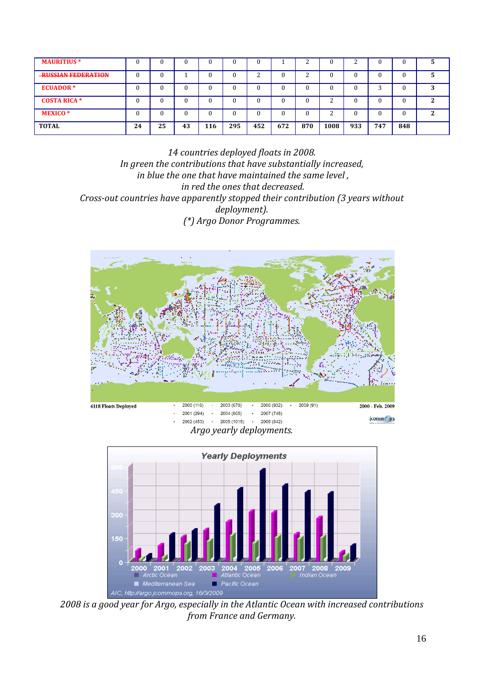| <b>MAURITIUS*</b>          |    |    |    |     |     | u      |     |     |      | ⌒<br>∼ |     |     |   |
|----------------------------|----|----|----|-----|-----|--------|-----|-----|------|--------|-----|-----|---|
| <b>-RUSSIAN FEDERATION</b> |    |    |    |     | C   | n<br>∼ |     | ◠   |      |        |     |     |   |
| <b>ECUADOR*</b>            |    |    |    |     | C   | u      |     |     |      |        | n   |     | 3 |
| <b>COSTA RICA *</b>        |    |    |    |     | 0   | v      |     |     | n    |        |     |     | ີ |
| <b>MEXICO*</b>             |    |    |    |     | 0   | ''     |     |     | ◠    |        |     |     | ∍ |
| <b>TOTAL</b>               | 24 | 25 | 43 | 116 | 295 | 452    | 672 | 870 | 1008 | 933    | 747 | 848 |   |

*14 countries deployed floats in 2008. In green the contributions that have substantially increased, in blue the one that have maintained the same level , in red the ones that decreased. Crossout countries have apparently stopped their contribution (3 years without deployment). (\*) Argo Donor Programmes.*



*Argo yearly deployments.*



*2008 is a good year for Argo, especially in the Atlantic Ocean with increased contributions from France and Germany.*